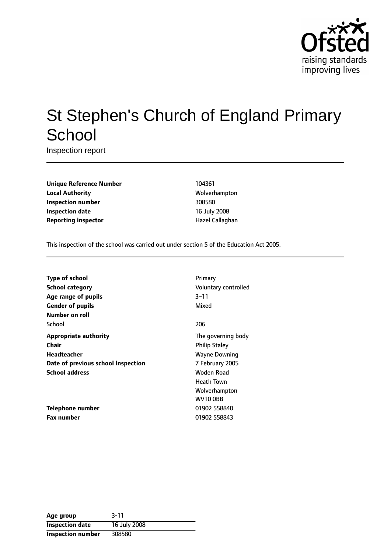

# St Stephen's Church of England Primary **School**

Inspection report

**Unique Reference Number** 104361 **Local Authority** Molverhampton **Inspection number** 308580 **Inspection date** 16 July 2008 **Reporting inspector and a linear Callaghan** Hazel Callaghan

This inspection of the school was carried out under section 5 of the Education Act 2005.

| <b>Type of school</b><br><b>School category</b> | Primary<br>Voluntary controlled            |
|-------------------------------------------------|--------------------------------------------|
| Age range of pupils<br><b>Gender of pupils</b>  | $3 - 11$<br>Mixed                          |
| Number on roll                                  |                                            |
| School                                          | 206                                        |
| <b>Appropriate authority</b><br>Chair           | The governing body<br><b>Philip Staley</b> |
| Headteacher                                     | <b>Wayne Downing</b>                       |
| Date of previous school inspection              | 7 February 2005                            |
| <b>School address</b>                           | Woden Road<br><b>Heath Town</b>            |
|                                                 | Wolverhampton<br>WV10 OBB                  |
| Telephone number                                | 01902 558840                               |
| <b>Fax number</b>                               | 01902 558843                               |

| Age group                | $3 - 11$     |
|--------------------------|--------------|
| <b>Inspection date</b>   | 16 July 2008 |
| <b>Inspection number</b> | 308580       |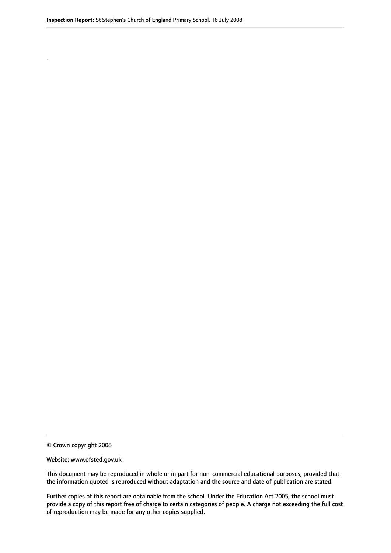.

© Crown copyright 2008

#### Website: www.ofsted.gov.uk

This document may be reproduced in whole or in part for non-commercial educational purposes, provided that the information quoted is reproduced without adaptation and the source and date of publication are stated.

Further copies of this report are obtainable from the school. Under the Education Act 2005, the school must provide a copy of this report free of charge to certain categories of people. A charge not exceeding the full cost of reproduction may be made for any other copies supplied.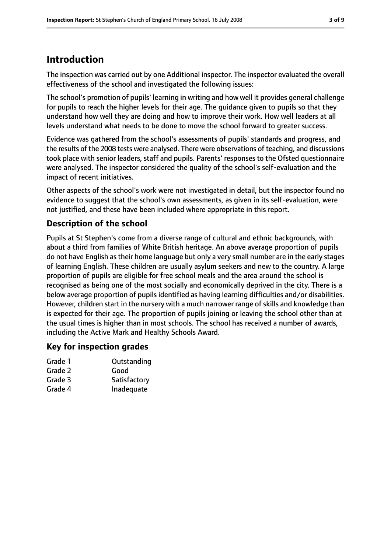# **Introduction**

The inspection was carried out by one Additional inspector. The inspector evaluated the overall effectiveness of the school and investigated the following issues:

The school's promotion of pupils' learning in writing and how well it provides general challenge for pupils to reach the higher levels for their age. The guidance given to pupils so that they understand how well they are doing and how to improve their work. How well leaders at all levels understand what needs to be done to move the school forward to greater success.

Evidence was gathered from the school's assessments of pupils' standards and progress, and the results of the 2008 tests were analysed. There were observations of teaching, and discussions took place with senior leaders, staff and pupils. Parents' responses to the Ofsted questionnaire were analysed. The inspector considered the quality of the school's self-evaluation and the impact of recent initiatives.

Other aspects of the school's work were not investigated in detail, but the inspector found no evidence to suggest that the school's own assessments, as given in its self-evaluation, were not justified, and these have been included where appropriate in this report.

# **Description of the school**

Pupils at St Stephen's come from a diverse range of cultural and ethnic backgrounds, with about a third from families of White British heritage. An above average proportion of pupils do not have English as their home language but only a very small number are in the early stages of learning English. These children are usually asylum seekers and new to the country. A large proportion of pupils are eligible for free school meals and the area around the school is recognised as being one of the most socially and economically deprived in the city. There is a below average proportion of pupils identified as having learning difficulties and/or disabilities. However, children start in the nursery with a much narrower range of skills and knowledge than is expected for their age. The proportion of pupils joining or leaving the school other than at the usual times is higher than in most schools. The school has received a number of awards, including the Active Mark and Healthy Schools Award.

### **Key for inspection grades**

| Grade 1 | Outstanding  |
|---------|--------------|
| Grade 2 | Good         |
| Grade 3 | Satisfactory |
| Grade 4 | Inadequate   |
|         |              |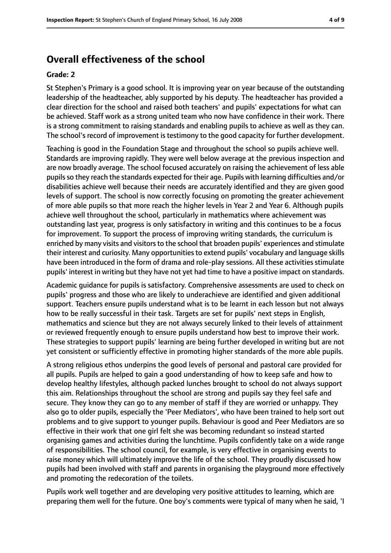# **Overall effectiveness of the school**

#### **Grade: 2**

St Stephen's Primary is a good school. It is improving year on year because of the outstanding leadership of the headteacher, ably supported by his deputy. The headteacher has provided a clear direction for the school and raised both teachers' and pupils' expectations for what can be achieved. Staff work as a strong united team who now have confidence in their work. There is a strong commitment to raising standards and enabling pupils to achieve as well as they can. The school's record of improvement is testimony to the good capacity for further development.

Teaching is good in the Foundation Stage and throughout the school so pupils achieve well. Standards are improving rapidly. They were well below average at the previous inspection and are now broadly average. The school focused accurately on raising the achievement of less able pupilsso they reach the standards expected for their age. Pupils with learning difficulties and/or disabilities achieve well because their needs are accurately identified and they are given good levels of support. The school is now correctly focusing on promoting the greater achievement of more able pupils so that more reach the higher levels in Year 2 and Year 6. Although pupils achieve well throughout the school, particularly in mathematics where achievement was outstanding last year, progress is only satisfactory in writing and this continues to be a focus for improvement. To support the process of improving writing standards, the curriculum is enriched by many visits and visitors to the school that broaden pupils' experiences and stimulate their interest and curiosity. Many opportunities to extend pupils' vocabulary and language skills have been introduced in the form of drama and role-play sessions. All these activities stimulate pupils' interest in writing but they have not yet had time to have a positive impact on standards.

Academic guidance for pupils is satisfactory. Comprehensive assessments are used to check on pupils' progress and those who are likely to underachieve are identified and given additional support. Teachers ensure pupils understand what is to be learnt in each lesson but not always how to be really successful in their task. Targets are set for pupils' next steps in English, mathematics and science but they are not always securely linked to their levels of attainment or reviewed frequently enough to ensure pupils understand how best to improve their work. These strategies to support pupils' learning are being further developed in writing but are not yet consistent or sufficiently effective in promoting higher standards of the more able pupils.

A strong religious ethos underpins the good levels of personal and pastoral care provided for all pupils. Pupils are helped to gain a good understanding of how to keep safe and how to develop healthy lifestyles, although packed lunches brought to school do not always support this aim. Relationships throughout the school are strong and pupils say they feel safe and secure. They know they can go to any member of staff if they are worried or unhappy. They also go to older pupils, especially the 'Peer Mediators', who have been trained to help sort out problems and to give support to younger pupils. Behaviour is good and Peer Mediators are so effective in their work that one girl felt she was becoming redundant so instead started organising games and activities during the lunchtime. Pupils confidently take on a wide range of responsibilities. The school council, for example, is very effective in organising events to raise money which will ultimately improve the life of the school. They proudly discussed how pupils had been involved with staff and parents in organising the playground more effectively and promoting the redecoration of the toilets.

Pupils work well together and are developing very positive attitudes to learning, which are preparing them well for the future. One boy's comments were typical of many when he said, 'I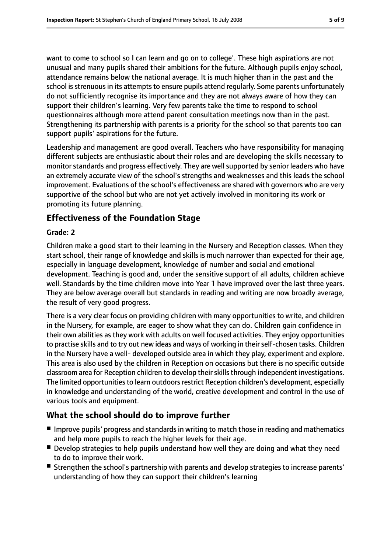want to come to school so I can learn and go on to college'. These high aspirations are not unusual and many pupils shared their ambitions for the future. Although pupils enjoy school, attendance remains below the national average. It is much higher than in the past and the school is strenuous in its attempts to ensure pupils attend regularly. Some parents unfortunately do not sufficiently recognise its importance and they are not always aware of how they can support their children's learning. Very few parents take the time to respond to school questionnaires although more attend parent consultation meetings now than in the past. Strengthening its partnership with parents is a priority for the school so that parents too can support pupils' aspirations for the future.

Leadership and management are good overall. Teachers who have responsibility for managing different subjects are enthusiastic about their roles and are developing the skills necessary to monitor standards and progress effectively. They are well supported by senior leaders who have an extremely accurate view of the school's strengths and weaknesses and this leads the school improvement. Evaluations of the school's effectiveness are shared with governors who are very supportive of the school but who are not yet actively involved in monitoring its work or promoting its future planning.

## **Effectiveness of the Foundation Stage**

#### **Grade: 2**

Children make a good start to their learning in the Nursery and Reception classes. When they start school, their range of knowledge and skills is much narrower than expected for their age, especially in language development, knowledge of number and social and emotional development. Teaching is good and, under the sensitive support of all adults, children achieve well. Standards by the time children move into Year 1 have improved over the last three years. They are below average overall but standards in reading and writing are now broadly average, the result of very good progress.

There is a very clear focus on providing children with many opportunities to write, and children in the Nursery, for example, are eager to show what they can do. Children gain confidence in their own abilities as they work with adults on well focused activities. They enjoy opportunities to practise skills and to try out new ideas and ways of working in theirself-chosen tasks. Children in the Nursery have a well- developed outside area in which they play, experiment and explore. This area is also used by the children in Reception on occasions but there is no specific outside classroom area for Reception children to develop their skills through independent investigations. The limited opportunities to learn outdoors restrict Reception children's development, especially in knowledge and understanding of the world, creative development and control in the use of various tools and equipment.

### **What the school should do to improve further**

- Improve pupils' progress and standards in writing to match those in reading and mathematics and help more pupils to reach the higher levels for their age.
- Develop strategies to help pupils understand how well they are doing and what they need to do to improve their work.
- Strengthen the school's partnership with parents and develop strategies to increase parents' understanding of how they can support their children's learning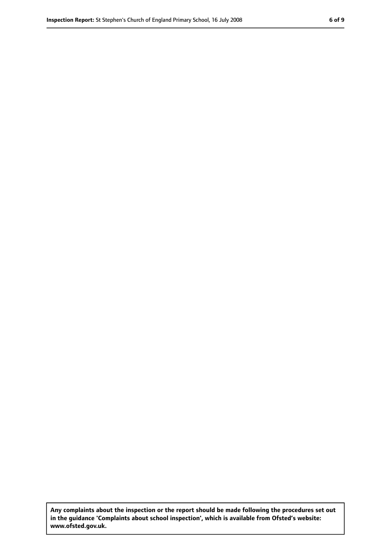**Any complaints about the inspection or the report should be made following the procedures set out in the guidance 'Complaints about school inspection', which is available from Ofsted's website: www.ofsted.gov.uk.**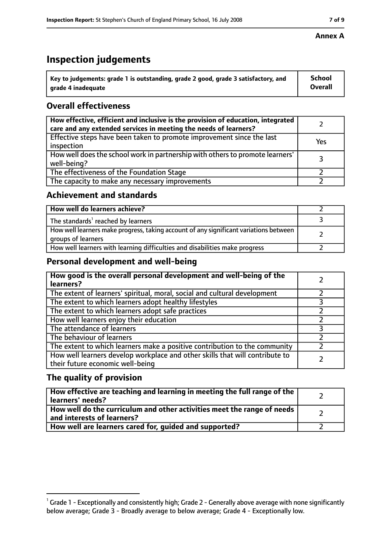# **Inspection judgements**

| $^{\backprime}$ Key to judgements: grade 1 is outstanding, grade 2 good, grade 3 satisfactory, and | <b>School</b>  |
|----------------------------------------------------------------------------------------------------|----------------|
| arade 4 inadequate                                                                                 | <b>Overall</b> |

## **Overall effectiveness**

| How effective, efficient and inclusive is the provision of education, integrated<br>care and any extended services in meeting the needs of learners? |     |
|------------------------------------------------------------------------------------------------------------------------------------------------------|-----|
| Effective steps have been taken to promote improvement since the last<br>inspection                                                                  | Yes |
| How well does the school work in partnership with others to promote learners'<br>well-being?                                                         |     |
| The effectiveness of the Foundation Stage                                                                                                            |     |
| The capacity to make any necessary improvements                                                                                                      |     |

## **Achievement and standards**

| How well do learners achieve?                                                                               |  |
|-------------------------------------------------------------------------------------------------------------|--|
| The standards <sup>1</sup> reached by learners                                                              |  |
| How well learners make progress, taking account of any significant variations between<br>groups of learners |  |
| How well learners with learning difficulties and disabilities make progress                                 |  |

## **Personal development and well-being**

| How good is the overall personal development and well-being of the<br>learners?                                  |  |
|------------------------------------------------------------------------------------------------------------------|--|
| The extent of learners' spiritual, moral, social and cultural development                                        |  |
| The extent to which learners adopt healthy lifestyles                                                            |  |
| The extent to which learners adopt safe practices                                                                |  |
| How well learners enjoy their education                                                                          |  |
| The attendance of learners                                                                                       |  |
| The behaviour of learners                                                                                        |  |
| The extent to which learners make a positive contribution to the community                                       |  |
| How well learners develop workplace and other skills that will contribute to<br>their future economic well-being |  |

## **The quality of provision**

| How effective are teaching and learning in meeting the full range of the<br>learners' needs?          |  |
|-------------------------------------------------------------------------------------------------------|--|
| How well do the curriculum and other activities meet the range of needs<br>and interests of learners? |  |
| How well are learners cared for, guided and supported?                                                |  |

#### **Annex A**

 $^1$  Grade 1 - Exceptionally and consistently high; Grade 2 - Generally above average with none significantly below average; Grade 3 - Broadly average to below average; Grade 4 - Exceptionally low.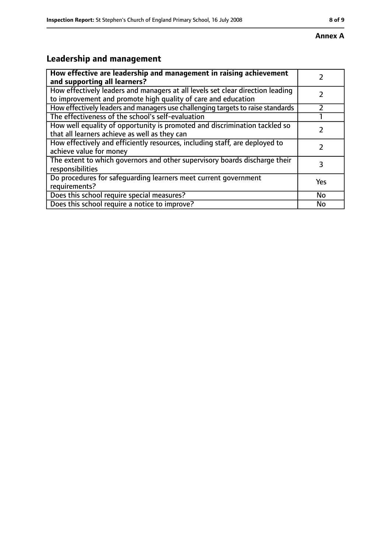#### **Annex A**

# **Leadership and management**

| How effective are leadership and management in raising achievement              |     |
|---------------------------------------------------------------------------------|-----|
| and supporting all learners?                                                    |     |
| How effectively leaders and managers at all levels set clear direction leading  |     |
| to improvement and promote high quality of care and education                   |     |
| How effectively leaders and managers use challenging targets to raise standards |     |
| The effectiveness of the school's self-evaluation                               |     |
| How well equality of opportunity is promoted and discrimination tackled so      |     |
| that all learners achieve as well as they can                                   |     |
| How effectively and efficiently resources, including staff, are deployed to     | 7   |
| achieve value for money                                                         |     |
| The extent to which governors and other supervisory boards discharge their      | 3   |
| responsibilities                                                                |     |
| Do procedures for safequarding learners meet current government                 | Yes |
| requirements?                                                                   |     |
| Does this school require special measures?                                      | No  |
| Does this school require a notice to improve?                                   | No  |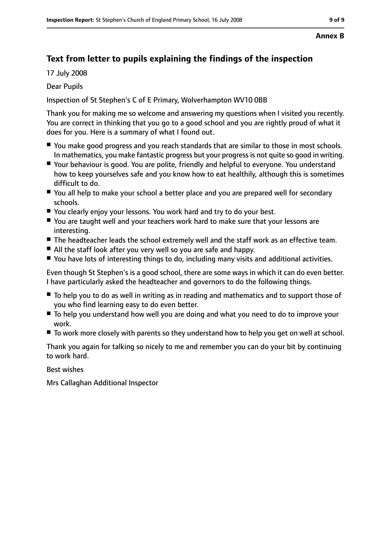#### **Annex B**

# **Text from letter to pupils explaining the findings of the inspection**

17 July 2008

Dear Pupils

Inspection of St Stephen's C of E Primary, Wolverhampton WV10 0BB

Thank you for making me so welcome and answering my questions when I visited you recently. You are correct in thinking that you go to a good school and you are rightly proud of what it does for you. Here is a summary of what I found out.

- You make good progress and you reach standards that are similar to those in most schools. In mathematics, you make fantastic progress but your progressis not quite so good in writing.
- Your behaviour is good. You are polite, friendly and helpful to everyone. You understand how to keep yourselves safe and you know how to eat healthily, although this is sometimes difficult to do.
- You all help to make your school a better place and you are prepared well for secondary schools.
- You clearly enjoy your lessons. You work hard and try to do your best.
- You are taught well and your teachers work hard to make sure that your lessons are interesting.
- The headteacher leads the school extremely well and the staff work as an effective team.
- All the staff look after you very well so you are safe and happy.
- You have lots of interesting things to do, including many visits and additional activities.

Even though St Stephen's is a good school, there are some ways in which it can do even better. I have particularly asked the headteacher and governors to do the following things.

- To help you to do as well in writing as in reading and mathematics and to support those of you who find learning easy to do even better.
- To help you understand how well you are doing and what you need to do to improve your work.
- To work more closely with parents so they understand how to help you get on well at school.

Thank you again for talking so nicely to me and remember you can do your bit by continuing to work hard.

Best wishes

Mrs Callaghan Additional Inspector